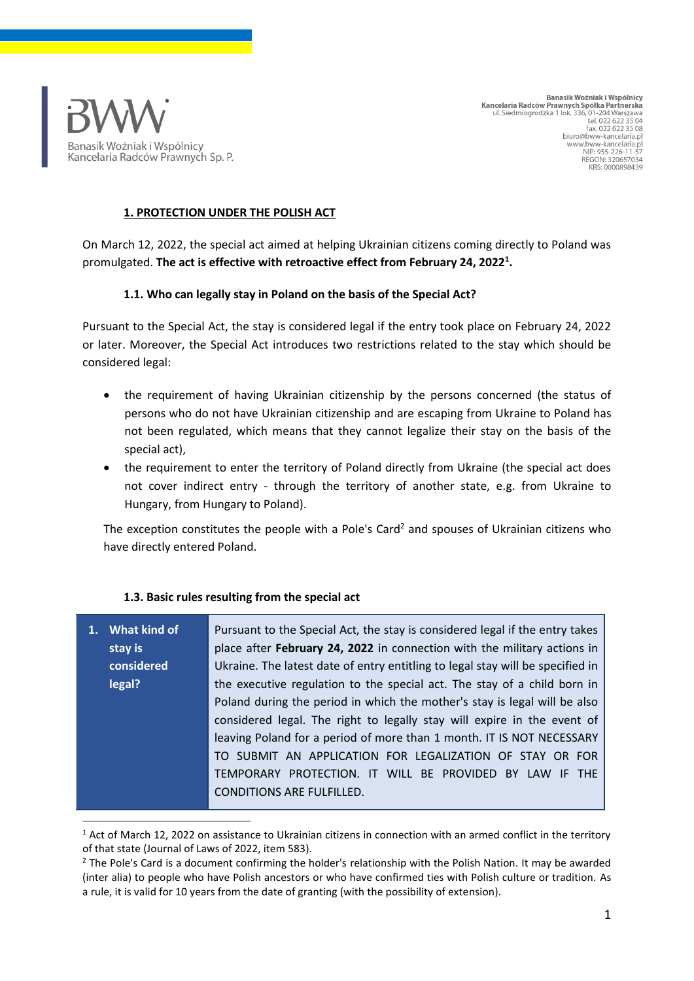

Banasik Woźniak i Wspólnicy Kancelaria Radców Prawnych Spółka Partnerska ul. Siedmiogrodzka 1 lok. 336, 01-204 Warszawa<br>tel. 022 622 35 04<br>fax. 022 622 35 08 biuro@bww-kancelaria.pl www.bww-kancelaria.pl<br>Www.bww-kancelaria.pl **REGON: 320657034** KRS: 0000898439

#### **1. PROTECTION UNDER THE POLISH ACT**

On March 12, 2022, the special act aimed at helping Ukrainian citizens coming directly to Poland was promulgated. **The act is effective with retroactive effect from February 24, 2022<sup>1</sup> .**

#### **1.1. Who can legally stay in Poland on the basis of the Special Act?**

Pursuant to the Special Act, the stay is considered legal if the entry took place on February 24, 2022 or later. Moreover, the Special Act introduces two restrictions related to the stay which should be considered legal:

- the requirement of having Ukrainian citizenship by the persons concerned (the status of persons who do not have Ukrainian citizenship and are escaping from Ukraine to Poland has not been regulated, which means that they cannot legalize their stay on the basis of the special act),
- the requirement to enter the territory of Poland directly from Ukraine (the special act does not cover indirect entry - through the territory of another state, e.g. from Ukraine to Hungary, from Hungary to Poland).

The exception constitutes the people with a Pole's Card<sup>2</sup> and spouses of Ukrainian citizens who have directly entered Poland.

#### **1.3. Basic rules resulting from the special act**

| 1. What kind of                                                       | Pursuant to the Special Act, the stay is considered legal if the entry takes   |  |
|-----------------------------------------------------------------------|--------------------------------------------------------------------------------|--|
| stay is                                                               | place after February 24, 2022 in connection with the military actions in       |  |
| considered                                                            | Ukraine. The latest date of entry entitling to legal stay will be specified in |  |
| legal?                                                                | the executive regulation to the special act. The stay of a child born in       |  |
|                                                                       | Poland during the period in which the mother's stay is legal will be also      |  |
|                                                                       | considered legal. The right to legally stay will expire in the event of        |  |
| leaving Poland for a period of more than 1 month. IT IS NOT NECESSARY |                                                                                |  |
| TO SUBMIT AN APPLICATION FOR LEGALIZATION OF STAY OR FOR              |                                                                                |  |
|                                                                       | TEMPORARY PROTECTION. IT WILL BE PROVIDED BY LAW IF THE                        |  |
|                                                                       | <b>CONDITIONS ARE FULFILLED.</b>                                               |  |

 $1$  Act of March 12, 2022 on assistance to Ukrainian citizens in connection with an armed conflict in the territory of that state (Journal of Laws of 2022, item 583).

<sup>&</sup>lt;sup>2</sup> The Pole's Card is a document confirming the holder's relationship with the Polish Nation. It may be awarded (inter alia) to people who have Polish ancestors or who have confirmed ties with Polish culture or tradition. As a rule, it is valid for 10 years from the date of granting (with the possibility of extension).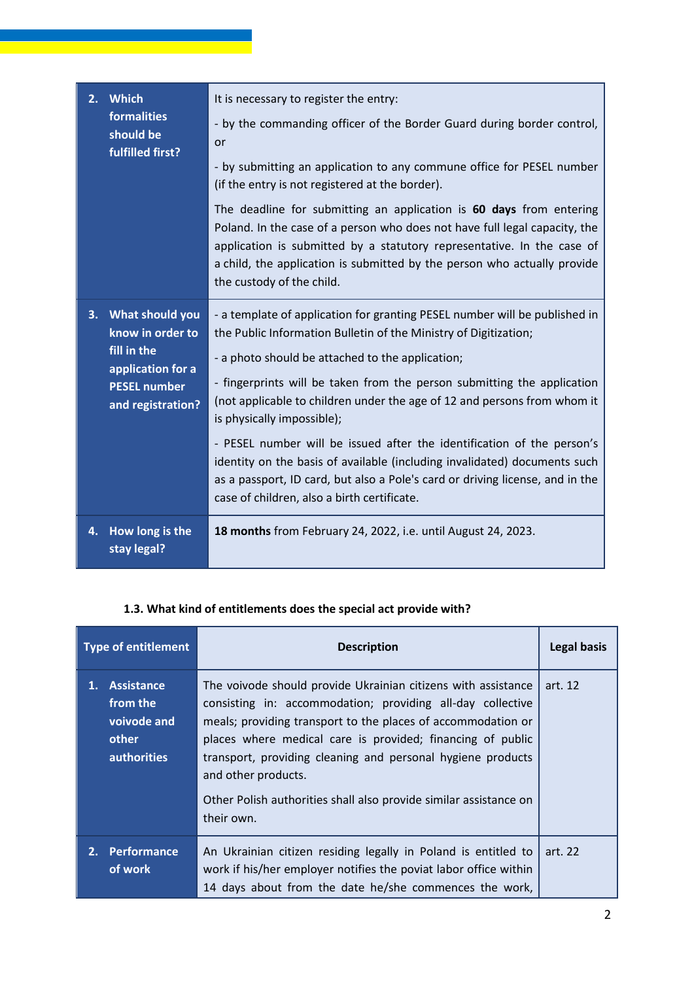| 2. | <b>Which</b><br>formalities<br>should be<br>fulfilled first?                                                           | It is necessary to register the entry:<br>- by the commanding officer of the Border Guard during border control,<br>or<br>- by submitting an application to any commune office for PESEL number<br>(if the entry is not registered at the border).<br>The deadline for submitting an application is 60 days from entering<br>Poland. In the case of a person who does not have full legal capacity, the<br>application is submitted by a statutory representative. In the case of<br>a child, the application is submitted by the person who actually provide<br>the custody of the child.                                                                                     |
|----|------------------------------------------------------------------------------------------------------------------------|--------------------------------------------------------------------------------------------------------------------------------------------------------------------------------------------------------------------------------------------------------------------------------------------------------------------------------------------------------------------------------------------------------------------------------------------------------------------------------------------------------------------------------------------------------------------------------------------------------------------------------------------------------------------------------|
|    | 3. What should you<br>know in order to<br>fill in the<br>application for a<br><b>PESEL number</b><br>and registration? | - a template of application for granting PESEL number will be published in<br>the Public Information Bulletin of the Ministry of Digitization;<br>- a photo should be attached to the application;<br>- fingerprints will be taken from the person submitting the application<br>(not applicable to children under the age of 12 and persons from whom it<br>is physically impossible);<br>- PESEL number will be issued after the identification of the person's<br>identity on the basis of available (including invalidated) documents such<br>as a passport, ID card, but also a Pole's card or driving license, and in the<br>case of children, also a birth certificate. |
| 4. | How long is the<br>stay legal?                                                                                         | 18 months from February 24, 2022, i.e. until August 24, 2023.                                                                                                                                                                                                                                                                                                                                                                                                                                                                                                                                                                                                                  |

# **1.3. What kind of entitlements does the special act provide with?**

| <b>Type of entitlement</b> |                                                                         | <b>Description</b>                                                                                                                                                                                                                                                                                                                                                                                                                 | <b>Legal basis</b> |
|----------------------------|-------------------------------------------------------------------------|------------------------------------------------------------------------------------------------------------------------------------------------------------------------------------------------------------------------------------------------------------------------------------------------------------------------------------------------------------------------------------------------------------------------------------|--------------------|
|                            | 1. Assistance<br>from the<br>voivode and<br>other<br><b>authorities</b> | The voivode should provide Ukrainian citizens with assistance<br>consisting in: accommodation; providing all-day collective<br>meals; providing transport to the places of accommodation or<br>places where medical care is provided; financing of public<br>transport, providing cleaning and personal hygiene products<br>and other products.<br>Other Polish authorities shall also provide similar assistance on<br>their own. | art. 12            |
|                            | 2. Performance<br>of work                                               | An Ukrainian citizen residing legally in Poland is entitled to<br>work if his/her employer notifies the poviat labor office within<br>14 days about from the date he/she commences the work,                                                                                                                                                                                                                                       | art. 22            |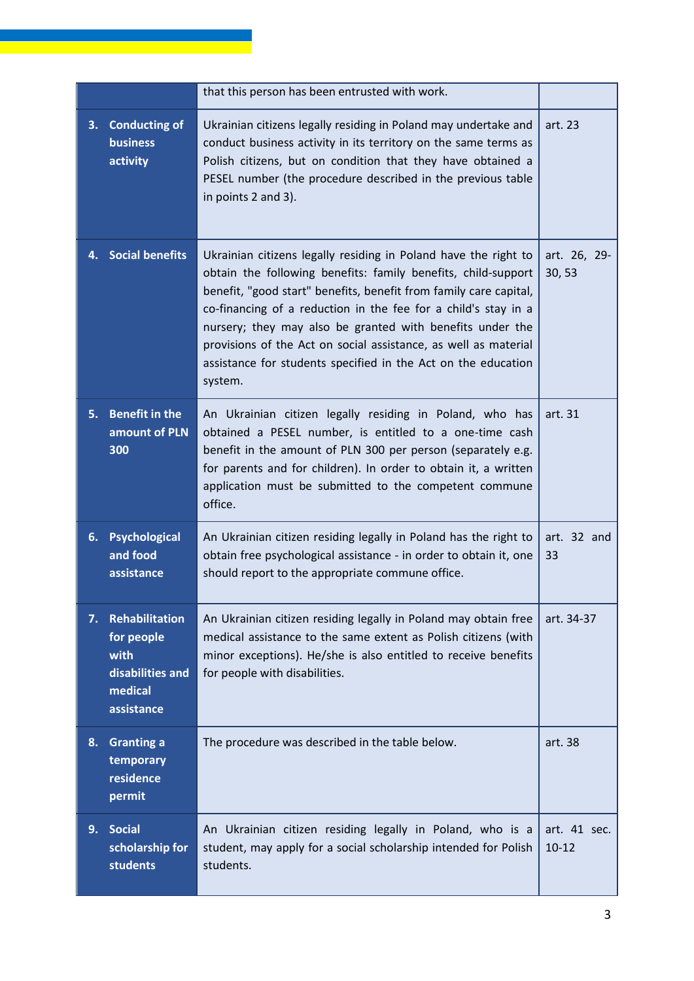|    |                                                                                          | that this person has been entrusted with work.                                                                                                                                                                                                                                                                                                                                                                                                                                      |                           |
|----|------------------------------------------------------------------------------------------|-------------------------------------------------------------------------------------------------------------------------------------------------------------------------------------------------------------------------------------------------------------------------------------------------------------------------------------------------------------------------------------------------------------------------------------------------------------------------------------|---------------------------|
| 3. | <b>Conducting of</b><br><b>business</b><br>activity                                      | Ukrainian citizens legally residing in Poland may undertake and<br>conduct business activity in its territory on the same terms as<br>Polish citizens, but on condition that they have obtained a<br>PESEL number (the procedure described in the previous table<br>in points 2 and 3).                                                                                                                                                                                             | art. 23                   |
|    | 4. Social benefits                                                                       | Ukrainian citizens legally residing in Poland have the right to<br>obtain the following benefits: family benefits, child-support<br>benefit, "good start" benefits, benefit from family care capital,<br>co-financing of a reduction in the fee for a child's stay in a<br>nursery; they may also be granted with benefits under the<br>provisions of the Act on social assistance, as well as material<br>assistance for students specified in the Act on the education<br>system. | art. 26, 29-<br>30, 53    |
| 5. | <b>Benefit in the</b><br>amount of PLN<br>300                                            | An Ukrainian citizen legally residing in Poland, who has<br>obtained a PESEL number, is entitled to a one-time cash<br>benefit in the amount of PLN 300 per person (separately e.g.<br>for parents and for children). In order to obtain it, a written<br>application must be submitted to the competent commune<br>office.                                                                                                                                                         | art. 31                   |
| 6. | Psychological<br>and food<br>assistance                                                  | An Ukrainian citizen residing legally in Poland has the right to<br>obtain free psychological assistance - in order to obtain it, one<br>should report to the appropriate commune office.                                                                                                                                                                                                                                                                                           | art. 32 and<br>33         |
| 7. | <b>Rehabilitation</b><br>for people<br>with<br>disabilities and<br>medical<br>assistance | An Ukrainian citizen residing legally in Poland may obtain free<br>medical assistance to the same extent as Polish citizens (with<br>minor exceptions). He/she is also entitled to receive benefits<br>for people with disabilities.                                                                                                                                                                                                                                                | art. 34-37                |
| 8. | <b>Granting a</b><br>temporary<br>residence<br>permit                                    | The procedure was described in the table below.                                                                                                                                                                                                                                                                                                                                                                                                                                     | art. 38                   |
| 9. | <b>Social</b><br>scholarship for<br><b>students</b>                                      | An Ukrainian citizen residing legally in Poland, who is a<br>student, may apply for a social scholarship intended for Polish<br>students.                                                                                                                                                                                                                                                                                                                                           | art. 41 sec.<br>$10 - 12$ |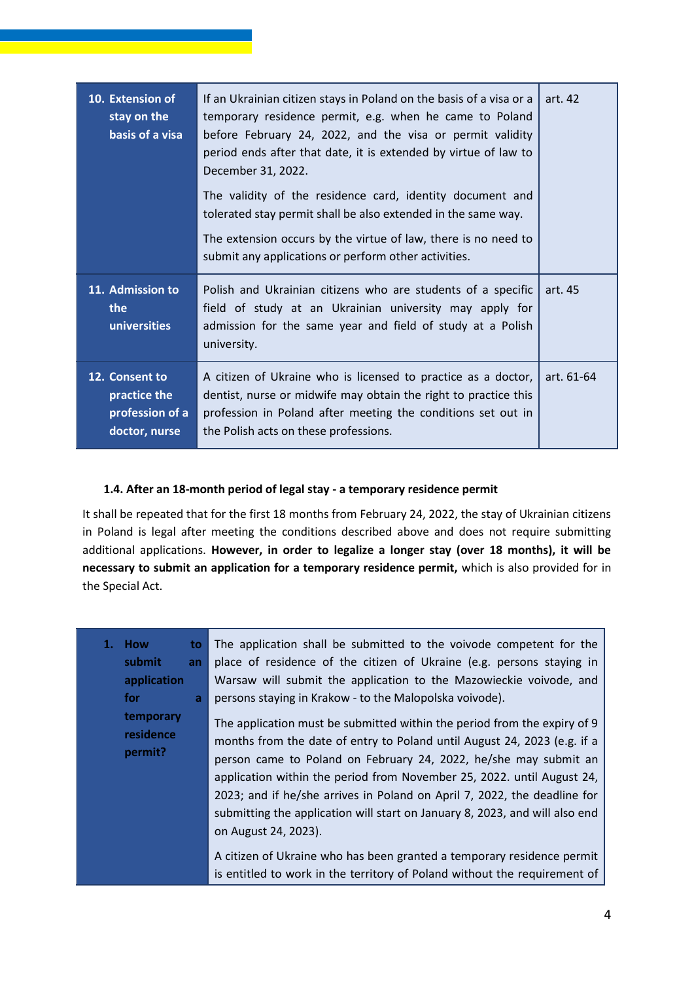| 10. Extension of<br>stay on the<br>basis of a visa                 | If an Ukrainian citizen stays in Poland on the basis of a visa or a<br>temporary residence permit, e.g. when he came to Poland<br>before February 24, 2022, and the visa or permit validity<br>period ends after that date, it is extended by virtue of law to<br>December 31, 2022.<br>The validity of the residence card, identity document and<br>tolerated stay permit shall be also extended in the same way.<br>The extension occurs by the virtue of law, there is no need to<br>submit any applications or perform other activities. | art. 42    |
|--------------------------------------------------------------------|----------------------------------------------------------------------------------------------------------------------------------------------------------------------------------------------------------------------------------------------------------------------------------------------------------------------------------------------------------------------------------------------------------------------------------------------------------------------------------------------------------------------------------------------|------------|
| 11. Admission to<br><b>the</b><br>universities                     | Polish and Ukrainian citizens who are students of a specific<br>field of study at an Ukrainian university may apply for<br>admission for the same year and field of study at a Polish<br>university.                                                                                                                                                                                                                                                                                                                                         | art. 45    |
| 12. Consent to<br>practice the<br>profession of a<br>doctor, nurse | A citizen of Ukraine who is licensed to practice as a doctor,<br>dentist, nurse or midwife may obtain the right to practice this<br>profession in Poland after meeting the conditions set out in<br>the Polish acts on these professions.                                                                                                                                                                                                                                                                                                    | art. 61-64 |

## **1.4. After an 18-month period of legal stay - a temporary residence permit**

It shall be repeated that for the first 18 months from February 24, 2022, the stay of Ukrainian citizens in Poland is legal after meeting the conditions described above and does not require submitting additional applications. **However, in order to legalize a longer stay (over 18 months), it will be necessary to submit an application for a temporary residence permit,** which is also provided for in the Special Act.

**1. How to submit an application for a temporary residence permit?** The application shall be submitted to the voivode competent for the place of residence of the citizen of Ukraine (e.g. persons staying in Warsaw will submit the application to the Mazowieckie voivode, and persons staying in Krakow - to the Malopolska voivode). The application must be submitted within the period from the expiry of 9 months from the date of entry to Poland until August 24, 2023 (e.g. if a person came to Poland on February 24, 2022, he/she may submit an application within the period from November 25, 2022. until August 24, 2023; and if he/she arrives in Poland on April 7, 2022, the deadline for submitting the application will start on January 8, 2023, and will also end on August 24, 2023). A citizen of Ukraine who has been granted a temporary residence permit is entitled to work in the territory of Poland without the requirement of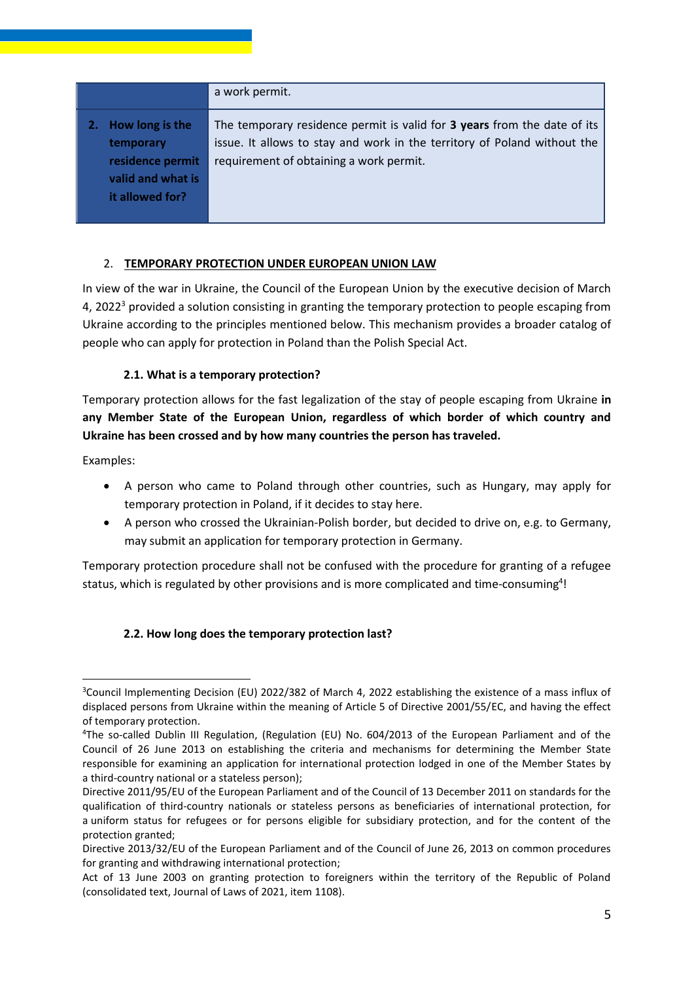|                                                                                                | a work permit.                                                                                                                                                                                  |
|------------------------------------------------------------------------------------------------|-------------------------------------------------------------------------------------------------------------------------------------------------------------------------------------------------|
| How long is the<br>2.<br>temporary<br>residence permit<br>valid and what is<br>it allowed for? | The temporary residence permit is valid for 3 years from the date of its<br>issue. It allows to stay and work in the territory of Poland without the<br>requirement of obtaining a work permit. |

## 2. **TEMPORARY PROTECTION UNDER EUROPEAN UNION LAW**

In view of the war in Ukraine, the Council of the European Union by the executive decision of March 4, 2022<sup>3</sup> provided a solution consisting in granting the temporary protection to people escaping from Ukraine according to the principles mentioned below. This mechanism provides a broader catalog of people who can apply for protection in Poland than the Polish Special Act.

## **2.1. What is a temporary protection?**

Temporary protection allows for the fast legalization of the stay of people escaping from Ukraine **in any Member State of the European Union, regardless of which border of which country and Ukraine has been crossed and by how many countries the person has traveled.**

Examples:

- A person who came to Poland through other countries, such as Hungary, may apply for temporary protection in Poland, if it decides to stay here.
- A person who crossed the Ukrainian-Polish border, but decided to drive on, e.g. to Germany, may submit an application for temporary protection in Germany.

Temporary protection procedure shall not be confused with the procedure for granting of a refugee status, which is regulated by other provisions and is more complicated and time-consuming<sup>4</sup>!

## **2.2. How long does the temporary protection last?**

<sup>3</sup>Council Implementing Decision (EU) 2022/382 of March 4, 2022 establishing the existence of a mass influx of displaced persons from Ukraine within the meaning of Article 5 of Directive 2001/55/EC, and having the effect of temporary protection.

<sup>4</sup>The so-called Dublin III Regulation, (Regulation (EU) No. 604/2013 of the European Parliament and of the Council of 26 June 2013 on establishing the criteria and mechanisms for determining the Member State responsible for examining an application for international protection lodged in one of the Member States by a third-country national or a stateless person);

Directive 2011/95/EU of the European Parliament and of the Council of 13 December 2011 on standards for the qualification of third-country nationals or stateless persons as beneficiaries of international protection, for a uniform status for refugees or for persons eligible for subsidiary protection, and for the content of the protection granted;

Directive 2013/32/EU of the European Parliament and of the Council of June 26, 2013 on common procedures for granting and withdrawing international protection;

Act of 13 June 2003 on granting protection to foreigners within the territory of the Republic of Poland (consolidated text, Journal of Laws of 2021, item 1108).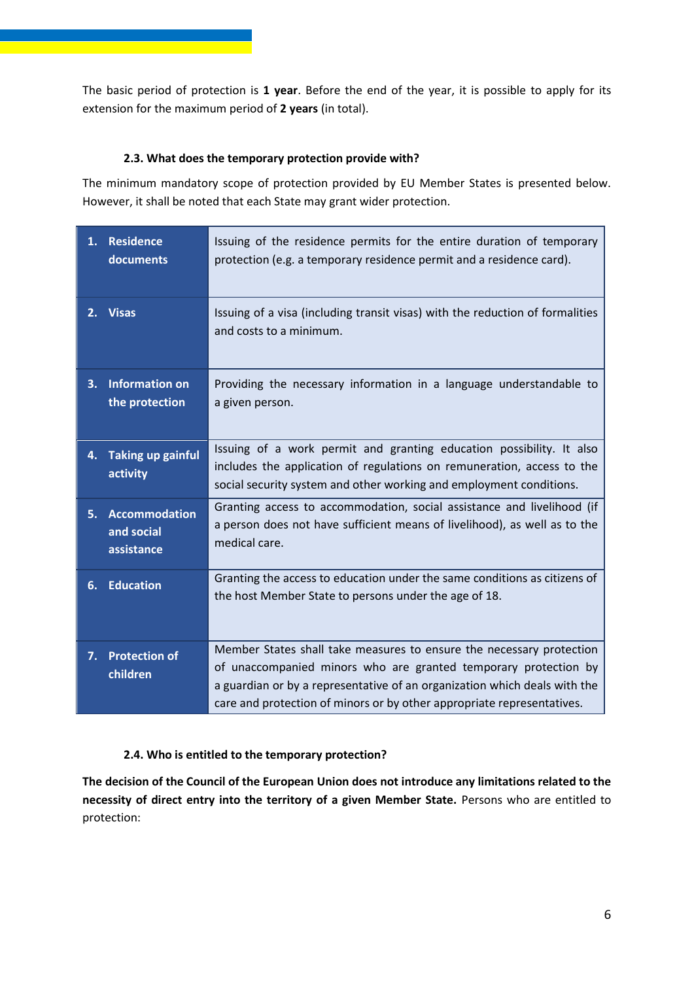The basic period of protection is **1 year**. Before the end of the year, it is possible to apply for its extension for the maximum period of **2 years** (in total).

## **2.3. What does the temporary protection provide with?**

The minimum mandatory scope of protection provided by EU Member States is presented below. However, it shall be noted that each State may grant wider protection.

|    | 1. Residence<br>documents                        | Issuing of the residence permits for the entire duration of temporary<br>protection (e.g. a temporary residence permit and a residence card).                                                                                                                                                  |
|----|--------------------------------------------------|------------------------------------------------------------------------------------------------------------------------------------------------------------------------------------------------------------------------------------------------------------------------------------------------|
|    | 2. Visas                                         | Issuing of a visa (including transit visas) with the reduction of formalities<br>and costs to a minimum.                                                                                                                                                                                       |
| 3. | <b>Information on</b><br>the protection          | Providing the necessary information in a language understandable to<br>a given person.                                                                                                                                                                                                         |
| 4. | Taking up gainful<br>activity                    | Issuing of a work permit and granting education possibility. It also<br>includes the application of regulations on remuneration, access to the<br>social security system and other working and employment conditions.                                                                          |
| 5. | <b>Accommodation</b><br>and social<br>assistance | Granting access to accommodation, social assistance and livelihood (if<br>a person does not have sufficient means of livelihood), as well as to the<br>medical care.                                                                                                                           |
|    | 6. Education                                     | Granting the access to education under the same conditions as citizens of<br>the host Member State to persons under the age of 18.                                                                                                                                                             |
| 7. | <b>Protection of</b><br>children                 | Member States shall take measures to ensure the necessary protection<br>of unaccompanied minors who are granted temporary protection by<br>a guardian or by a representative of an organization which deals with the<br>care and protection of minors or by other appropriate representatives. |

## **2.4. Who is entitled to the temporary protection?**

**The decision of the Council of the European Union does not introduce any limitations related to the necessity of direct entry into the territory of a given Member State.** Persons who are entitled to protection: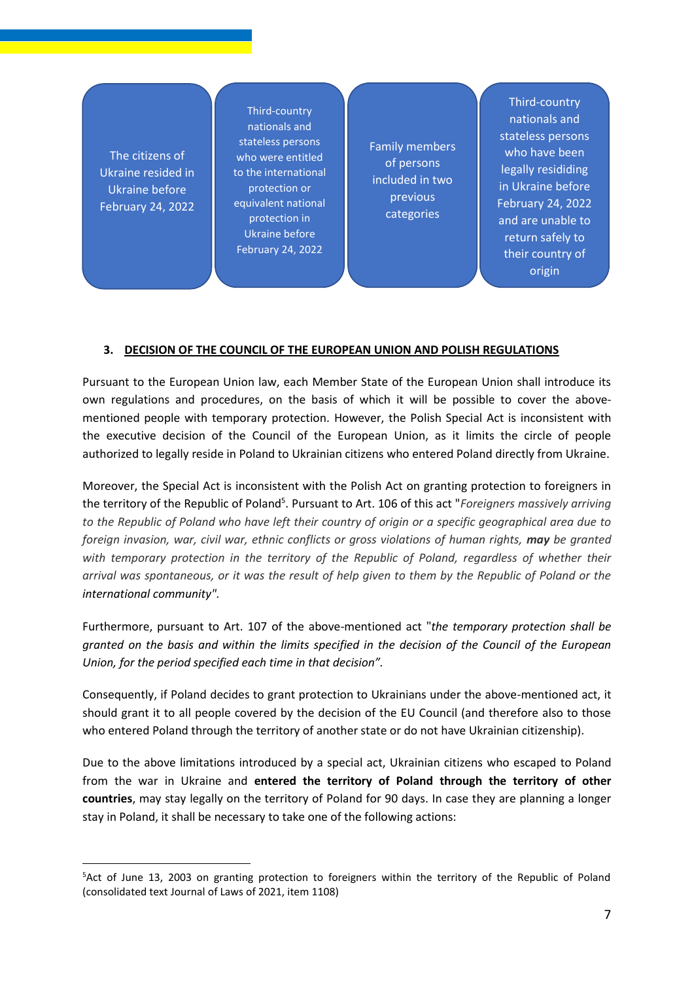The citizens of Ukraine resided in Ukraine before February 24, 2022

Third-country nationals and stateless persons who were entitled to the international protection or equivalent national protection in Ukraine before February 24, 2022

Family members of persons included in two previous categories

Third-country nationals and stateless persons who have been legally resididing in Ukraine before February 24, 2022 and are unable to return safely to their country of origin

#### **3. DECISION OF THE COUNCIL OF THE EUROPEAN UNION AND POLISH REGULATIONS**

Pursuant to the European Union law, each Member State of the European Union shall introduce its own regulations and procedures, on the basis of which it will be possible to cover the abovementioned people with temporary protection. However, the Polish Special Act is inconsistent with the executive decision of the Council of the European Union, as it limits the circle of people authorized to legally reside in Poland to Ukrainian citizens who entered Poland directly from Ukraine.

Moreover, the Special Act is inconsistent with the Polish Act on granting protection to foreigners in the territory of the Republic of Poland<sup>5</sup>. Pursuant to Art. 106 of this act "*Foreigners massively arriving to the Republic of Poland who have left their country of origin or a specific geographical area due to foreign invasion, war, civil war, ethnic conflicts or gross violations of human rights, may be granted with temporary protection in the territory of the Republic of Poland, regardless of whether their arrival was spontaneous, or it was the result of help given to them by the Republic of Poland or the international community".*

Furthermore, pursuant to Art. 107 of the above-mentioned act "*the temporary protection shall be granted on the basis and within the limits specified in the decision of the Council of the European Union, for the period specified each time in that decision".*

Consequently, if Poland decides to grant protection to Ukrainians under the above-mentioned act, it should grant it to all people covered by the decision of the EU Council (and therefore also to those who entered Poland through the territory of another state or do not have Ukrainian citizenship).

Due to the above limitations introduced by a special act, Ukrainian citizens who escaped to Poland from the war in Ukraine and **entered the territory of Poland through the territory of other countries**, may stay legally on the territory of Poland for 90 days. In case they are planning a longer stay in Poland, it shall be necessary to take one of the following actions:

<sup>&</sup>lt;sup>5</sup>Act of June 13, 2003 on granting protection to foreigners within the territory of the Republic of Poland (consolidated text Journal of Laws of 2021, item 1108)